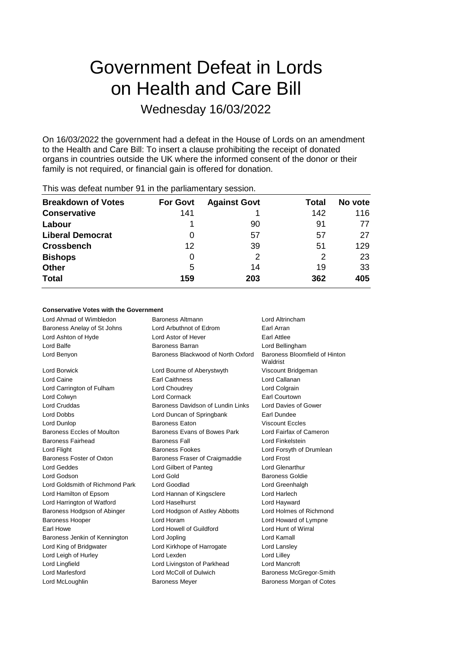# Government Defeat in Lords on Health and Care Bill

# Wednesday 16/03/2022

On 16/03/2022 the government had a defeat in the House of Lords on an amendment to the Health and Care Bill: To insert a clause prohibiting the receipt of donated organs in countries outside the UK where the informed consent of the donor or their family is not required, or financial gain is offered for donation.

| <b>Breakdown of Votes</b> | <b>For Govt</b> | <b>Against Govt</b> | Total | No vote |
|---------------------------|-----------------|---------------------|-------|---------|
| <b>Conservative</b>       | 141             |                     | 142   | 116     |
| Labour                    |                 | 90                  | 91    | 77      |
| <b>Liberal Democrat</b>   | 0               | 57                  | 57    | 27      |
| <b>Crossbench</b>         | 12              | 39                  | 51    | 129     |
| <b>Bishops</b>            | 0               | 2                   | 2     | 23      |
| <b>Other</b>              | 5               | 14                  | 19    | 33      |
| <b>Total</b>              | 159             | 203                 | 362   | 405     |
|                           |                 |                     |       |         |

This was defeat number 91 in the parliamentary session.

## **Conservative Votes with the Government**

| Lord Ahmad of Wimbledon         | Baroness Altmann                   | Lord Altrincham                           |
|---------------------------------|------------------------------------|-------------------------------------------|
| Baroness Anelay of St Johns     | Lord Arbuthnot of Edrom            | Earl Arran                                |
| Lord Ashton of Hyde             | Lord Astor of Hever                | <b>Earl Attlee</b>                        |
| Lord Balfe                      | <b>Baroness Barran</b>             | Lord Bellingham                           |
| Lord Benyon                     | Baroness Blackwood of North Oxford | Baroness Bloomfield of Hinton<br>Waldrist |
| <b>Lord Borwick</b>             | Lord Bourne of Aberystwyth         | Viscount Bridgeman                        |
| Lord Caine                      | <b>Earl Caithness</b>              | Lord Callanan                             |
| Lord Carrington of Fulham       | Lord Choudrey                      | Lord Colgrain                             |
| Lord Colwyn                     | <b>Lord Cormack</b>                | Earl Courtown                             |
| Lord Cruddas                    | Baroness Davidson of Lundin Links  | Lord Davies of Gower                      |
| Lord Dobbs                      | Lord Duncan of Springbank          | Earl Dundee                               |
| Lord Dunlop                     | <b>Baroness Eaton</b>              | <b>Viscount Eccles</b>                    |
| Baroness Eccles of Moulton      | Baroness Evans of Bowes Park       | Lord Fairfax of Cameron                   |
| <b>Baroness Fairhead</b>        | <b>Baroness Fall</b>               | Lord Finkelstein                          |
| Lord Flight                     | <b>Baroness Fookes</b>             | Lord Forsyth of Drumlean                  |
| Baroness Foster of Oxton        | Baroness Fraser of Craigmaddie     | Lord Frost                                |
| <b>Lord Geddes</b>              | Lord Gilbert of Panteg             | <b>Lord Glenarthur</b>                    |
| Lord Godson                     | Lord Gold                          | <b>Baroness Goldie</b>                    |
| Lord Goldsmith of Richmond Park | Lord Goodlad                       | Lord Greenhalgh                           |
| Lord Hamilton of Epsom          | Lord Hannan of Kingsclere          | Lord Harlech                              |
| Lord Harrington of Watford      | Lord Haselhurst                    | Lord Hayward                              |
| Baroness Hodgson of Abinger     | Lord Hodgson of Astley Abbotts     | Lord Holmes of Richmond                   |
| <b>Baroness Hooper</b>          | Lord Horam                         | Lord Howard of Lympne                     |
| Earl Howe                       | Lord Howell of Guildford           | Lord Hunt of Wirral                       |
| Baroness Jenkin of Kennington   | Lord Jopling                       | Lord Kamall                               |
| Lord King of Bridgwater         | Lord Kirkhope of Harrogate         | Lord Lansley                              |
| Lord Leigh of Hurley            | Lord Lexden                        | Lord Lilley                               |
| Lord Lingfield                  | Lord Livingston of Parkhead        | Lord Mancroft                             |
| <b>Lord Marlesford</b>          | Lord McColl of Dulwich             | Baroness McGregor-Smith                   |
| Lord McLoughlin                 | <b>Baroness Meyer</b>              | Baroness Morgan of Cotes                  |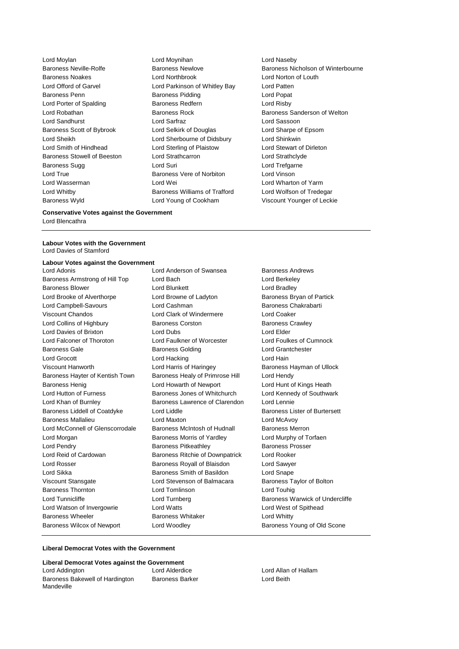Lord Moylan Lord Moynihan Lord Naseby Baroness Wyld Lord Young of Cookham Viscount Younger of Leckie

Baroness Noakes Lord Northbrook Lord Norton of Louth Lord Offord of Garvel Lord Parkinson of Whitley Bay Lord Patten Baroness Penn Baroness Pidding Lord Popat Lord Porter of Spalding The Baroness Redfern The Lord Risby Lord Sandhurst Lord Sarfraz Lord Sassoon Baroness Scott of Bybrook Lord Selkirk of Douglas Lord Sharpe of Epsom Lord Sheikh Lord Sherbourne of Didsbury Lord Shinkwin Lord Smith of Hindhead Lord Sterling of Plaistow Lord Stewart of Dirleton Baroness Stowell of Beeston Lord Strathcarron Corresponding Lord Strathclyde Baroness Sugg **Lord Suri** Lord Suri **Lord Trefgarne** Lord True Baroness Vere of Norbiton Lord Vinson Lord Wasserman Lord Wei Lord Wharton of Yarm Lord Whitby Baroness Williams of Trafford Lord Wolfson of Tredegar

Baroness Neville-Rolfe **Baroness Newlove** Baroness Newlove **Baroness Nicholson of Winterbourne** Lord Robathan Baroness Rock Baroness Sanderson of Welton

#### **Conservative Votes against the Government**

Lord Blencathra

**Labour Votes with the Government** Lord Davies of Stamford

#### **Labour Votes against the Government**

Baroness Armstrong of Hill Top Lord Bach Lord Berkeley Baroness Blower **Lord Blunkett** Lord Bradley Lord Brooke of Alverthorpe Lord Browne of Ladyton Baroness Bryan of Partick Lord Campbell-Savours Lord Cashman Baroness Chakrabarti Viscount Chandos Lord Clark of Windermere Lord Coaker Lord Collins of Highbury **Baroness Corston** Baroness Crawley Lord Davies of Brixton Lord Dubs Lord Elder Lord Falconer of Thoroton Lord Faulkner of Worcester Lord Foulkes of Cumnock Baroness Gale **Baroness Golding Baroness Golding** Lord Grantchester Lord Grocott **Lord Hacking** Lord Hacking Lord Hain Viscount Hanworth **Lord Harris of Haringey** Baroness Hayman of Ullock Baroness Hayter of Kentish Town Baroness Healy of Primrose Hill Lord Hendy Baroness Henig **Lord Howarth of Newport** Lord Hunt of Kings Heath Lord Hutton of Furness **Baroness** Jones of Whitchurch Lord Kennedy of Southwark Lord Khan of Burnley Baroness Lawrence of Clarendon Lord Lennie Baroness Liddell of Coatdyke Lord Liddle Baroness Lister of Burtersett Baroness Mallalieu Lord Maxton Lord McAvoy Lord McConnell of Glenscorrodale Baroness McIntosh of Hudnall Baroness Merron Lord Morgan **Baroness Morris of Yardley** Lord Murphy of Torfaen Lord Pendry Baroness Pitkeathley Baroness Prosser Lord Reid of Cardowan Baroness Ritchie of Downpatrick Lord Rooker Lord Rosser Baroness Royall of Blaisdon Lord Sawyer Lord Sikka **Baroness Smith of Basildon** Lord Snape Viscount Stansgate Lord Stevenson of Balmacara Baroness Taylor of Bolton Baroness Thornton Lord Tomlinson Lord Touhig Lord Tunnicliffe **Lord Turnberg** Lord Turnberg **Baroness Warwick of Undercliffe** Lord Watson of Invergowrie Lord Watts Lord West of Spithead Baroness Wheeler **Baroness Whitaker** Lord Whitty Baroness Wilcox of Newport Lord Woodley **Baroness Young of Old Scone** 

Lord Adonis **Lord Anderson of Swansea** Baroness Andrews

#### **Liberal Democrat Votes with the Government**

#### **Liberal Democrat Votes against the Government**

Lord Addington Lord Alderdice Lord Allan of Hallam Baroness Bakewell of Hardington Mandeville

Baroness Barker **Lord Beith**